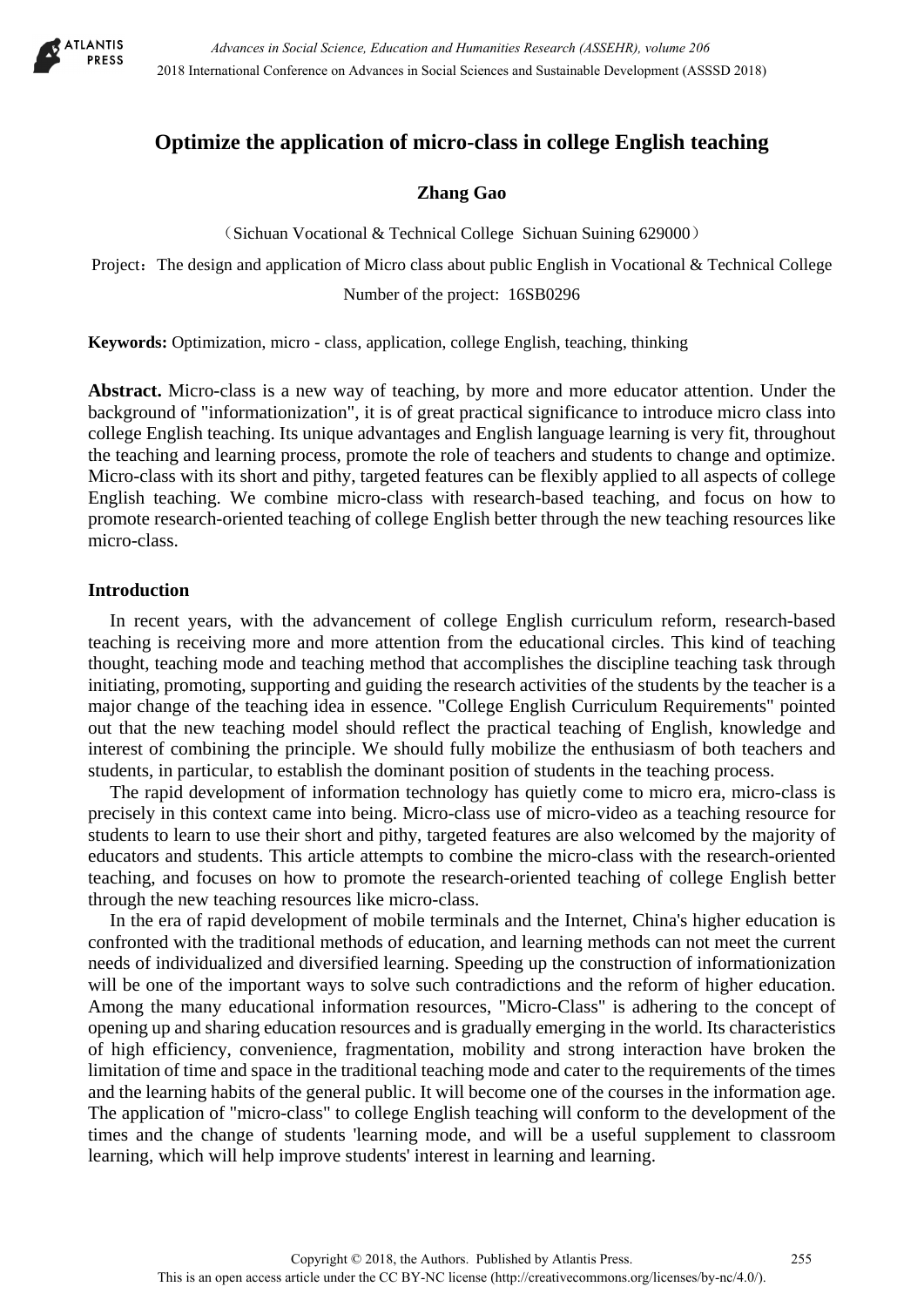

# **Optimize the application of micro-class in college English teaching**

## **Zhang Gao**

(Sichuan Vocational & Technical College Sichuan Suining 629000)

Project: The design and application of Micro class about public English in Vocational  $\&$  Technical College Number of the project: 16SB0296

**Keywords:** Optimization, micro - class, application, college English, teaching, thinking

**Abstract.** Micro-class is a new way of teaching, by more and more educator attention. Under the background of "informationization", it is of great practical significance to introduce micro class into college English teaching. Its unique advantages and English language learning is very fit, throughout the teaching and learning process, promote the role of teachers and students to change and optimize. Micro-class with its short and pithy, targeted features can be flexibly applied to all aspects of college English teaching. We combine micro-class with research-based teaching, and focus on how to promote research-oriented teaching of college English better through the new teaching resources like micro-class.

### **Introduction**

In recent years, with the advancement of college English curriculum reform, research-based teaching is receiving more and more attention from the educational circles. This kind of teaching thought, teaching mode and teaching method that accomplishes the discipline teaching task through initiating, promoting, supporting and guiding the research activities of the students by the teacher is a major change of the teaching idea in essence. "College English Curriculum Requirements" pointed out that the new teaching model should reflect the practical teaching of English, knowledge and interest of combining the principle. We should fully mobilize the enthusiasm of both teachers and students, in particular, to establish the dominant position of students in the teaching process.

The rapid development of information technology has quietly come to micro era, micro-class is precisely in this context came into being. Micro-class use of micro-video as a teaching resource for students to learn to use their short and pithy, targeted features are also welcomed by the majority of educators and students. This article attempts to combine the micro-class with the research-oriented teaching, and focuses on how to promote the research-oriented teaching of college English better through the new teaching resources like micro-class.

In the era of rapid development of mobile terminals and the Internet, China's higher education is confronted with the traditional methods of education, and learning methods can not meet the current needs of individualized and diversified learning. Speeding up the construction of informationization will be one of the important ways to solve such contradictions and the reform of higher education. Among the many educational information resources, "Micro-Class" is adhering to the concept of opening up and sharing education resources and is gradually emerging in the world. Its characteristics of high efficiency, convenience, fragmentation, mobility and strong interaction have broken the limitation of time and space in the traditional teaching mode and cater to the requirements of the times and the learning habits of the general public. It will become one of the courses in the information age. The application of "micro-class" to college English teaching will conform to the development of the times and the change of students 'learning mode, and will be a useful supplement to classroom learning, which will help improve students' interest in learning and learning.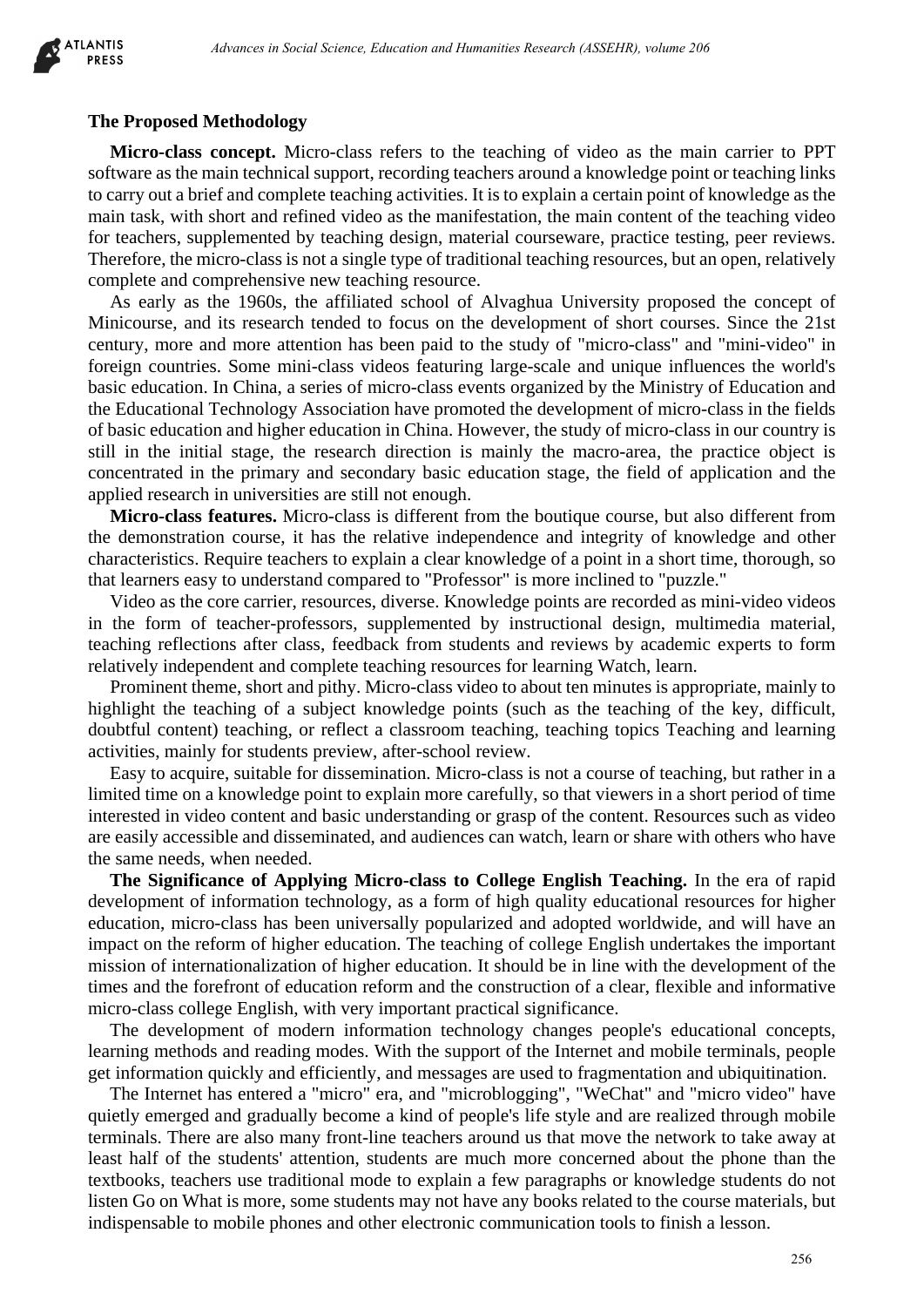

#### **The Proposed Methodology**

**Micro-class concept.** Micro-class refers to the teaching of video as the main carrier to PPT software as the main technical support, recording teachers around a knowledge point or teaching links to carry out a brief and complete teaching activities. It is to explain a certain point of knowledge as the main task, with short and refined video as the manifestation, the main content of the teaching video for teachers, supplemented by teaching design, material courseware, practice testing, peer reviews. Therefore, the micro-class is not a single type of traditional teaching resources, but an open, relatively complete and comprehensive new teaching resource.

As early as the 1960s, the affiliated school of Alvaghua University proposed the concept of Minicourse, and its research tended to focus on the development of short courses. Since the 21st century, more and more attention has been paid to the study of "micro-class" and "mini-video" in foreign countries. Some mini-class videos featuring large-scale and unique influences the world's basic education. In China, a series of micro-class events organized by the Ministry of Education and the Educational Technology Association have promoted the development of micro-class in the fields of basic education and higher education in China. However, the study of micro-class in our country is still in the initial stage, the research direction is mainly the macro-area, the practice object is concentrated in the primary and secondary basic education stage, the field of application and the applied research in universities are still not enough. *Advances in Social Science, Education and Humanities Research (42382HR), where 266<br>
Adchodology*<br> **Adchodology**<br> **Adchodology**<br> **Adchodology**<br> **Adchodology**<br> **Adchodology**<br> **Addressing cristing of video as the main carrie** 

**Micro-class features.** Micro-class is different from the boutique course, but also different from the demonstration course, it has the relative independence and integrity of knowledge and other characteristics. Require teachers to explain a clear knowledge of a point in a short time, thorough, so that learners easy to understand compared to "Professor" is more inclined to "puzzle."

Video as the core carrier, resources, diverse. Knowledge points are recorded as mini-video videos in the form of teacher-professors, supplemented by instructional design, multimedia material, teaching reflections after class, feedback from students and reviews by academic experts to form relatively independent and complete teaching resources for learning Watch, learn.

Prominent theme, short and pithy. Micro-class video to about ten minutes is appropriate, mainly to highlight the teaching of a subject knowledge points (such as the teaching of the key, difficult, doubtful content) teaching, or reflect a classroom teaching, teaching topics Teaching and learning activities, mainly for students preview, after-school review.

Easy to acquire, suitable for dissemination. Micro-class is not a course of teaching, but rather in a limited time on a knowledge point to explain more carefully, so that viewers in a short period of time interested in video content and basic understanding or grasp of the content. Resources such as video are easily accessible and disseminated, and audiences can watch, learn or share with others who have the same needs, when needed.

**The Significance of Applying Micro-class to College English Teaching.** In the era of rapid development of information technology, as a form of high quality educational resources for higher education, micro-class has been universally popularized and adopted worldwide, and will have an impact on the reform of higher education. The teaching of college English undertakes the important mission of internationalization of higher education. It should be in line with the development of the times and the forefront of education reform and the construction of a clear, flexible and informative micro-class college English, with very important practical significance.

The development of modern information technology changes people's educational concepts, learning methods and reading modes. With the support of the Internet and mobile terminals, people get information quickly and efficiently, and messages are used to fragmentation and ubiquitination.

The Internet has entered a "micro" era, and "microblogging", "WeChat" and "micro video" have quietly emerged and gradually become a kind of people's life style and are realized through mobile terminals. There are also many front-line teachers around us that move the network to take away at least half of the students' attention, students are much more concerned about the phone than the textbooks, teachers use traditional mode to explain a few paragraphs or knowledge students do not listen Go on What is more, some students may not have any books related to the course materials, but indispensable to mobile phones and other electronic communication tools to finish a lesson.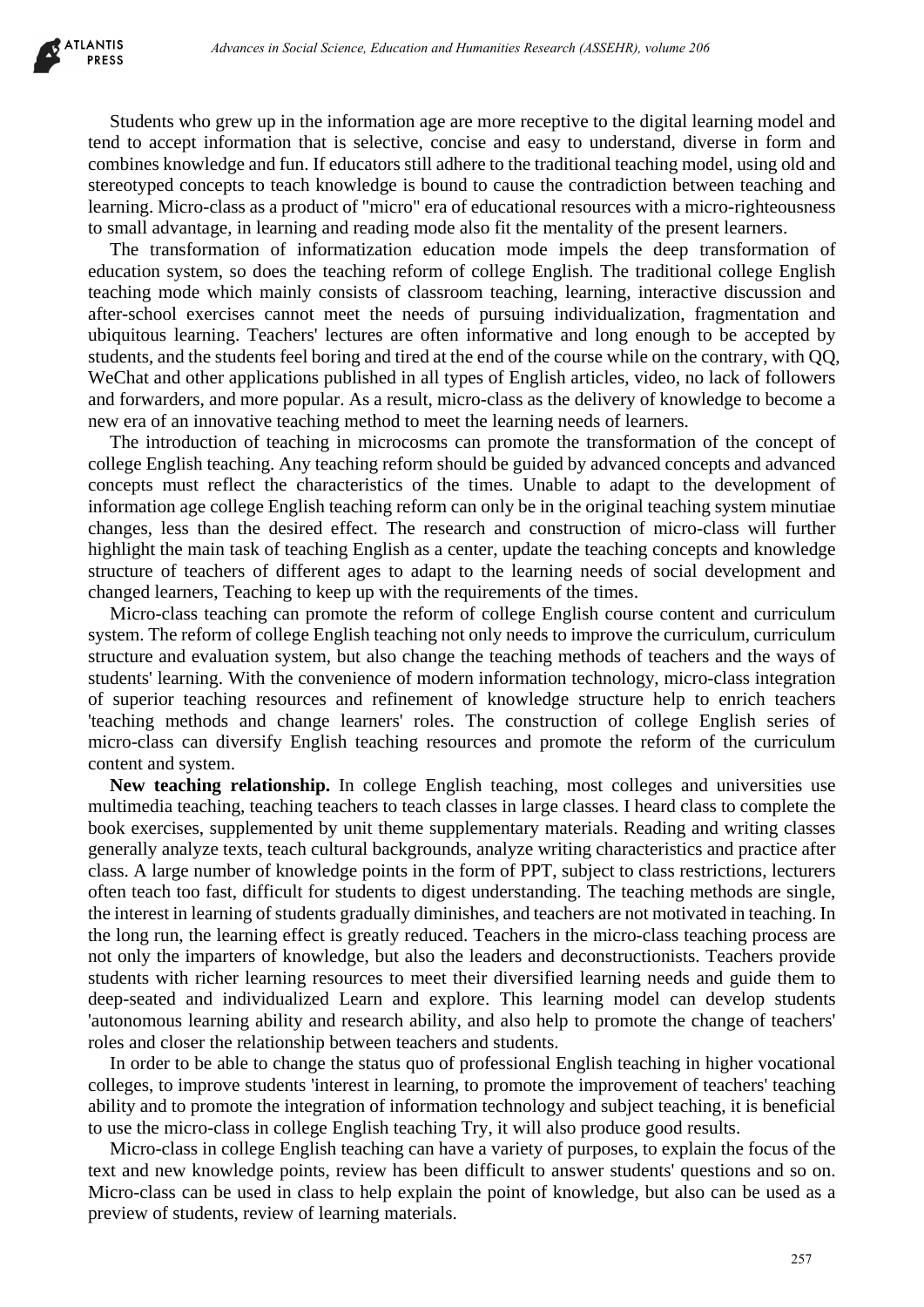

Students who grew up in the information age are more receptive to the digital learning model and tend to accept information that is selective, concise and easy to understand, diverse in form and combines knowledge and fun. If educators still adhere to the traditional teaching model, using old and stereotyped concepts to teach knowledge is bound to cause the contradiction between teaching and learning. Micro-class as a product of "micro" era of educational resources with a micro-righteousness to small advantage, in learning and reading mode also fit the mentality of the present learners.

The transformation of informatization education mode impels the deep transformation of education system, so does the teaching reform of college English. The traditional college English teaching mode which mainly consists of classroom teaching, learning, interactive discussion and after-school exercises cannot meet the needs of pursuing individualization, fragmentation and ubiquitous learning. Teachers' lectures are often informative and long enough to be accepted by students, and the students feel boring and tired at the end of the course while on the contrary, with QQ, WeChat and other applications published in all types of English articles, video, no lack of followers and forwarders, and more popular. As a result, micro-class as the delivery of knowledge to become a new era of an innovative teaching method to meet the learning needs of learners.

The introduction of teaching in microcosms can promote the transformation of the concept of college English teaching. Any teaching reform should be guided by advanced concepts and advanced concepts must reflect the characteristics of the times. Unable to adapt to the development of information age college English teaching reform can only be in the original teaching system minutiae changes, less than the desired effect. The research and construction of micro-class will further highlight the main task of teaching English as a center, update the teaching concepts and knowledge structure of teachers of different ages to adapt to the learning needs of social development and changed learners, Teaching to keep up with the requirements of the times.

Micro-class teaching can promote the reform of college English course content and curriculum system. The reform of college English teaching not only needs to improve the curriculum, curriculum structure and evaluation system, but also change the teaching methods of teachers and the ways of students' learning. With the convenience of modern information technology, micro-class integration of superior teaching resources and refinement of knowledge structure help to enrich teachers 'teaching methods and change learners' roles. The construction of college English series of micro-class can diversify English teaching resources and promote the reform of the curriculum content and system.

**New teaching relationship.** In college English teaching, most colleges and universities use multimedia teaching, teaching teachers to teach classes in large classes. I heard class to complete the book exercises, supplemented by unit theme supplementary materials. Reading and writing classes generally analyze texts, teach cultural backgrounds, analyze writing characteristics and practice after class. A large number of knowledge points in the form of PPT, subject to class restrictions, lecturers often teach too fast, difficult for students to digest understanding. The teaching methods are single, the interest in learning of students gradually diminishes, and teachers are not motivated in teaching. In the long run, the learning effect is greatly reduced. Teachers in the micro-class teaching process are not only the imparters of knowledge, but also the leaders and deconstructionists. Teachers provide students with richer learning resources to meet their diversified learning needs and guide them to deep-seated and individualized Learn and explore. This learning model can develop students 'autonomous learning ability and research ability, and also help to promote the change of teachers' roles and closer the relationship between teachers and students. debenera in beread of an entired of the electric content described and the electric content of the electric content of the electric content of the electric content of the electric content of the electric content of the ele

In order to be able to change the status quo of professional English teaching in higher vocational colleges, to improve students 'interest in learning, to promote the improvement of teachers' teaching ability and to promote the integration of information technology and subject teaching, it is beneficial to use the micro-class in college English teaching Try, it will also produce good results.

Micro-class in college English teaching can have a variety of purposes, to explain the focus of the text and new knowledge points, review has been difficult to answer students' questions and so on. Micro-class can be used in class to help explain the point of knowledge, but also can be used as a preview of students, review of learning materials.